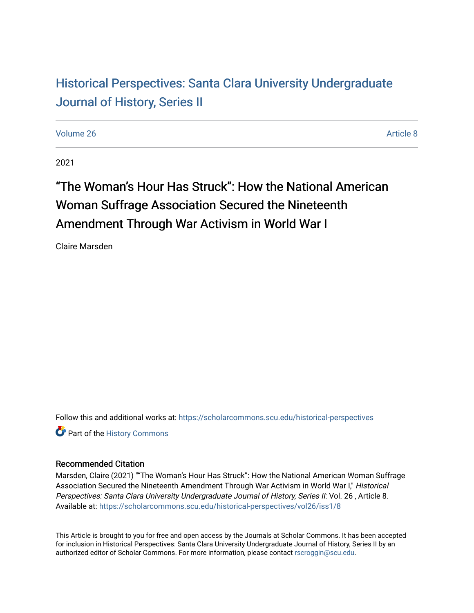## Historical Perspectiv[es: Santa Clara University Under](https://scholarcommons.scu.edu/historical-perspectives)graduate [Journal of History, Series II](https://scholarcommons.scu.edu/historical-perspectives)

[Volume 26](https://scholarcommons.scu.edu/historical-perspectives/vol26) Article 8

2021

# "The Woman's Hour Has Struck": How the National American Woman Suffrage Association Secured the Nineteenth Amendment Through War Activism in World War I

Claire Marsden

Follow this and additional works at: [https://scholarcommons.scu.edu/historical-perspectives](https://scholarcommons.scu.edu/historical-perspectives?utm_source=scholarcommons.scu.edu%2Fhistorical-perspectives%2Fvol26%2Fiss1%2F8&utm_medium=PDF&utm_campaign=PDFCoverPages) 

Part of the [History Commons](http://network.bepress.com/hgg/discipline/489?utm_source=scholarcommons.scu.edu%2Fhistorical-perspectives%2Fvol26%2Fiss1%2F8&utm_medium=PDF&utm_campaign=PDFCoverPages) 

#### Recommended Citation

Marsden, Claire (2021) ""The Woman's Hour Has Struck": How the National American Woman Suffrage Association Secured the Nineteenth Amendment Through War Activism in World War I," Historical Perspectives: Santa Clara University Undergraduate Journal of History, Series II: Vol. 26 , Article 8. Available at: [https://scholarcommons.scu.edu/historical-perspectives/vol26/iss1/8](https://scholarcommons.scu.edu/historical-perspectives/vol26/iss1/8?utm_source=scholarcommons.scu.edu%2Fhistorical-perspectives%2Fvol26%2Fiss1%2F8&utm_medium=PDF&utm_campaign=PDFCoverPages) 

This Article is brought to you for free and open access by the Journals at Scholar Commons. It has been accepted for inclusion in Historical Perspectives: Santa Clara University Undergraduate Journal of History, Series II by an authorized editor of Scholar Commons. For more information, please contact [rscroggin@scu.edu](mailto:rscroggin@scu.edu).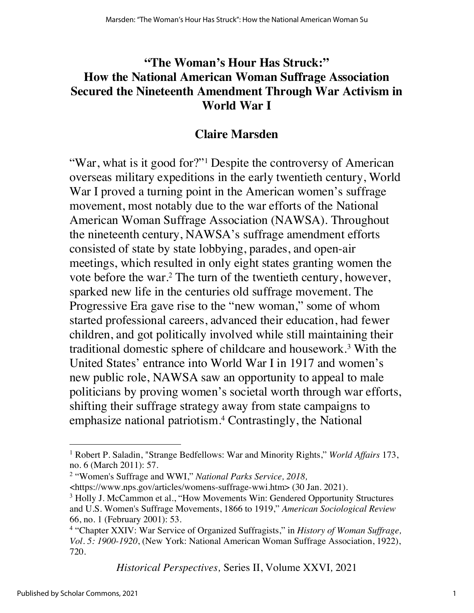### **"The Woman's Hour Has Struck:" How the National American Woman Suffrage Association Secured the Nineteenth Amendment Through War Activism in World War I**

#### **Claire Marsden**

"War, what is it good for?"1 Despite the controversy of American overseas military expeditions in the early twentieth century, World War I proved a turning point in the American women's suffrage movement, most notably due to the war efforts of the National American Woman Suffrage Association (NAWSA). Throughout the nineteenth century, NAWSA's suffrage amendment efforts consisted of state by state lobbying, parades, and open-air meetings, which resulted in only eight states granting women the vote before the war.2 The turn of the twentieth century, however, sparked new life in the centuries old suffrage movement. The Progressive Era gave rise to the "new woman," some of whom started professional careers, advanced their education, had fewer children, and got politically involved while still maintaining their traditional domestic sphere of childcare and housework.3 With the United States' entrance into World War I in 1917 and women's new public role, NAWSA saw an opportunity to appeal to male politicians by proving women's societal worth through war efforts, shifting their suffrage strategy away from state campaigns to emphasize national patriotism.4 Contrastingly, the National

*Historical Perspectives,* Series II, Volume XXVI*,* 2021

<sup>1</sup> Robert P. Saladin, "Strange Bedfellows: War and Minority Rights," *World Affairs* 173, no. 6 (March 2011): 57.

<sup>2</sup> "Women's Suffrage and WWI," *National Parks Service, 2018,*

<sup>&</sup>lt;https://www.nps.gov/articles/womens-suffrage-wwi.htm> (30 Jan. 2021)*.* 

<sup>&</sup>lt;sup>3</sup> Holly J. McCammon et al., "How Movements Win: Gendered Opportunity Structures and U.S. Women's Suffrage Movements, 1866 to 1919," *American Sociological Review*  66, no. 1 (February 2001): 53.

<sup>4</sup> "Chapter XXIV: War Service of Organized Suffragists," in *History of Woman Suffrage, Vol. 5: 1900-1920*, (New York: National American Woman Suffrage Association, 1922), 720.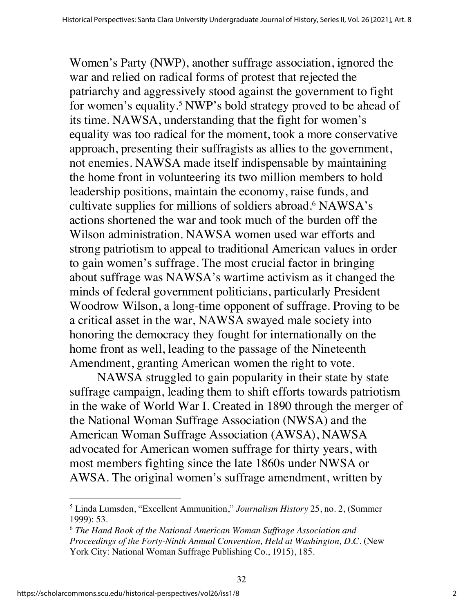Women's Party (NWP), another suffrage association, ignored the war and relied on radical forms of protest that rejected the patriarchy and aggressively stood against the government to fight for women's equality.<sup>5</sup> NWP's bold strategy proved to be ahead of its time. NAWSA, understanding that the fight for women's equality was too radical for the moment, took a more conservative approach, presenting their suffragists as allies to the government, not enemies. NAWSA made itself indispensable by maintaining the home front in volunteering its two million members to hold leadership positions, maintain the economy, raise funds, and cultivate supplies for millions of soldiers abroad.<sup>6</sup> NAWSA's actions shortened the war and took much of the burden off the Wilson administration. NAWSA women used war efforts and strong patriotism to appeal to traditional American values in order to gain women's suffrage. The most crucial factor in bringing about suffrage was NAWSA's wartime activism as it changed the minds of federal government politicians, particularly President Woodrow Wilson, a long-time opponent of suffrage. Proving to be a critical asset in the war, NAWSA swayed male society into honoring the democracy they fought for internationally on the home front as well, leading to the passage of the Nineteenth Amendment, granting American women the right to vote.

NAWSA struggled to gain popularity in their state by state suffrage campaign, leading them to shift efforts towards patriotism in the wake of World War I. Created in 1890 through the merger of the National Woman Suffrage Association (NWSA) and the American Woman Suffrage Association (AWSA), NAWSA advocated for American women suffrage for thirty years, with most members fighting since the late 1860s under NWSA or AWSA. The original women's suffrage amendment, written by

<sup>5</sup> Linda Lumsden, "Excellent Ammunition," *Journalism History* 25, no. 2, (Summer 1999): 53.

<sup>6</sup> *The Hand Book of the National American Woman Suffrage Association and Proceedings of the Forty-Ninth Annual Convention, Held at Washington, D.C.* (New York City: National Woman Suffrage Publishing Co., 1915), 185.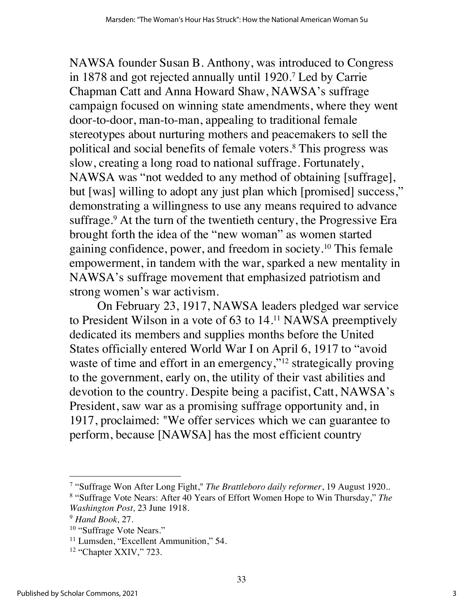NAWSA founder Susan B. Anthony, was introduced to Congress in 1878 and got rejected annually until 1920.7 Led by Carrie Chapman Catt and Anna Howard Shaw, NAWSA's suffrage campaign focused on winning state amendments, where they went door-to-door, man-to-man, appealing to traditional female stereotypes about nurturing mothers and peacemakers to sell the political and social benefits of female voters.8 This progress was slow, creating a long road to national suffrage. Fortunately, NAWSA was "not wedded to any method of obtaining [suffrage], but [was] willing to adopt any just plan which [promised] success," demonstrating a willingness to use any means required to advance suffrage.<sup>9</sup> At the turn of the twentieth century, the Progressive Era brought forth the idea of the "new woman" as women started gaining confidence, power, and freedom in society.10 This female empowerment, in tandem with the war, sparked a new mentality in NAWSA's suffrage movement that emphasized patriotism and strong women's war activism.

On February 23, 1917, NAWSA leaders pledged war service to President Wilson in a vote of 63 to 14.11 NAWSA preemptively dedicated its members and supplies months before the United States officially entered World War I on April 6, 1917 to "avoid waste of time and effort in an emergency,"<sup>12</sup> strategically proving to the government, early on, the utility of their vast abilities and devotion to the country. Despite being a pacifist, Catt, NAWSA's President, saw war as a promising suffrage opportunity and, in 1917, proclaimed: "We offer services which we can guarantee to perform, because [NAWSA] has the most efficient country

<sup>7</sup> "Suffrage Won After Long Fight," *The Brattleboro daily reformer*, 19 August 1920.. <sup>8</sup> "Suffrage Vote Nears: After 40 Years of Effort Women Hope to Win Thursday," *The Washington Post,* 23 June 1918.

<sup>9</sup> *Hand Book,* 27.

<sup>&</sup>lt;sup>10</sup> "Suffrage Vote Nears."

<sup>&</sup>lt;sup>11</sup> Lumsden, "Excellent Ammunition," 54.

<sup>12</sup> "Chapter XXIV," 723.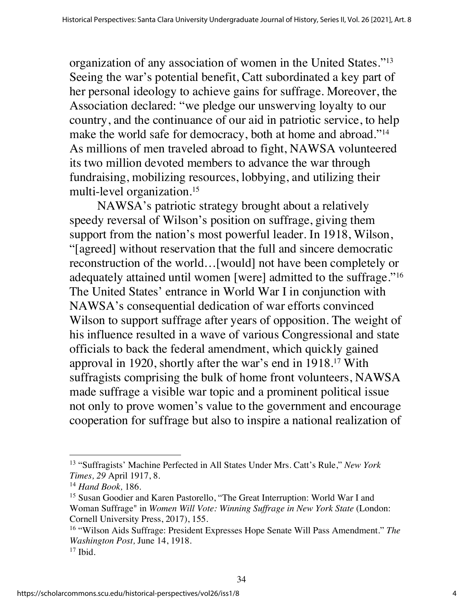organization of any association of women in the United States."13 Seeing the war's potential benefit, Catt subordinated a key part of her personal ideology to achieve gains for suffrage. Moreover, the Association declared: "we pledge our unswerving loyalty to our country, and the continuance of our aid in patriotic service, to help make the world safe for democracy, both at home and abroad."<sup>14</sup> As millions of men traveled abroad to fight, NAWSA volunteered its two million devoted members to advance the war through fundraising, mobilizing resources, lobbying, and utilizing their multi-level organization.15

NAWSA's patriotic strategy brought about a relatively speedy reversal of Wilson's position on suffrage, giving them support from the nation's most powerful leader. In 1918, Wilson, "[agreed] without reservation that the full and sincere democratic reconstruction of the world…[would] not have been completely or adequately attained until women [were] admitted to the suffrage."16 The United States' entrance in World War I in conjunction with NAWSA's consequential dedication of war efforts convinced Wilson to support suffrage after years of opposition. The weight of his influence resulted in a wave of various Congressional and state officials to back the federal amendment, which quickly gained approval in 1920, shortly after the war's end in 1918.17 With suffragists comprising the bulk of home front volunteers, NAWSA made suffrage a visible war topic and a prominent political issue not only to prove women's value to the government and encourage cooperation for suffrage but also to inspire a national realization of

<sup>13</sup> "Suffragists' Machine Perfected in All States Under Mrs. Catt's Rule," *New York Times, 29* April 1917, 8.

<sup>14</sup> *Hand Book,* 186.

<sup>&</sup>lt;sup>15</sup> Susan Goodier and Karen Pastorello, "The Great Interruption: World War I and Woman Suffrage" in *Women Will Vote: Winning Suffrage in New York State* (London: Cornell University Press, 2017), 155.

<sup>16</sup> "Wilson Aids Suffrage: President Expresses Hope Senate Will Pass Amendment." *The Washington Post,* June 14, 1918.

 $17$  Ibid.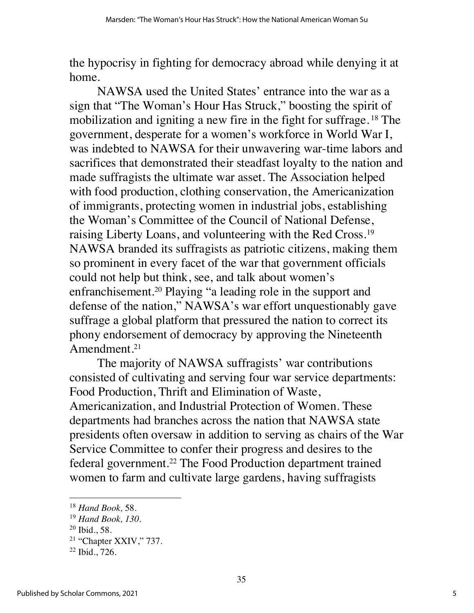the hypocrisy in fighting for democracy abroad while denying it at home.

NAWSA used the United States' entrance into the war as a sign that "The Woman's Hour Has Struck," boosting the spirit of mobilization and igniting a new fire in the fight for suffrage. <sup>18</sup> The government, desperate for a women's workforce in World War I, was indebted to NAWSA for their unwavering war-time labors and sacrifices that demonstrated their steadfast loyalty to the nation and made suffragists the ultimate war asset. The Association helped with food production, clothing conservation, the Americanization of immigrants, protecting women in industrial jobs, establishing the Woman's Committee of the Council of National Defense, raising Liberty Loans, and volunteering with the Red Cross.19 NAWSA branded its suffragists as patriotic citizens, making them so prominent in every facet of the war that government officials could not help but think, see, and talk about women's enfranchisement.20 Playing "a leading role in the support and defense of the nation," NAWSA's war effort unquestionably gave suffrage a global platform that pressured the nation to correct its phony endorsement of democracy by approving the Nineteenth Amendment.<sup>21</sup>

The majority of NAWSA suffragists' war contributions consisted of cultivating and serving four war service departments: Food Production, Thrift and Elimination of Waste, Americanization, and Industrial Protection of Women. These departments had branches across the nation that NAWSA state presidents often oversaw in addition to serving as chairs of the War Service Committee to confer their progress and desires to the federal government.22 The Food Production department trained women to farm and cultivate large gardens, having suffragists

<sup>18</sup> *Hand Book,* 58.

<sup>19</sup> *Hand Book, 130.*

 $20$  Ibid., 58.

 $21$  "Chapter XXIV," 737.

<sup>22</sup> Ibid., 726.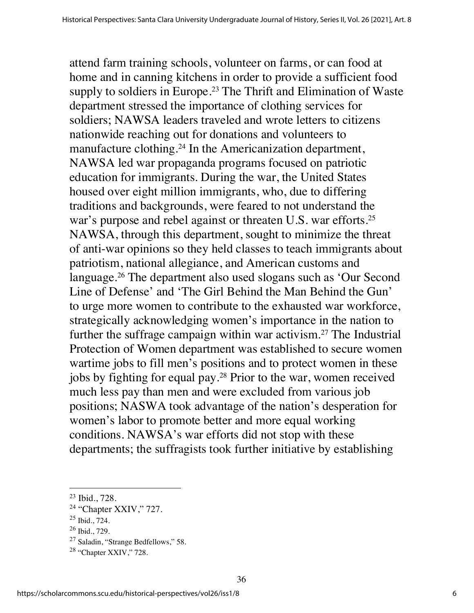attend farm training schools, volunteer on farms, or can food at home and in canning kitchens in order to provide a sufficient food supply to soldiers in Europe.<sup>23</sup> The Thrift and Elimination of Waste department stressed the importance of clothing services for soldiers; NAWSA leaders traveled and wrote letters to citizens nationwide reaching out for donations and volunteers to manufacture clothing.24 In the Americanization department, NAWSA led war propaganda programs focused on patriotic education for immigrants. During the war, the United States housed over eight million immigrants, who, due to differing traditions and backgrounds, were feared to not understand the war's purpose and rebel against or threaten U.S. war efforts.<sup>25</sup> NAWSA, through this department, sought to minimize the threat of anti-war opinions so they held classes to teach immigrants about patriotism, national allegiance, and American customs and language.26 The department also used slogans such as 'Our Second Line of Defense' and 'The Girl Behind the Man Behind the Gun' to urge more women to contribute to the exhausted war workforce, strategically acknowledging women's importance in the nation to further the suffrage campaign within war activism.<sup>27</sup> The Industrial Protection of Women department was established to secure women wartime jobs to fill men's positions and to protect women in these jobs by fighting for equal pay.28 Prior to the war, women received much less pay than men and were excluded from various job positions; NASWA took advantage of the nation's desperation for women's labor to promote better and more equal working conditions. NAWSA's war efforts did not stop with these departments; the suffragists took further initiative by establishing

<sup>23</sup> Ibid., 728.

<sup>&</sup>lt;sup>24</sup> "Chapter XXIV," 727.

 $25$  Ibid., 724.

<sup>26</sup> Ibid., 729.

<sup>27</sup> Saladin, "Strange Bedfellows," 58.

 $28$  "Chapter XXIV," 728.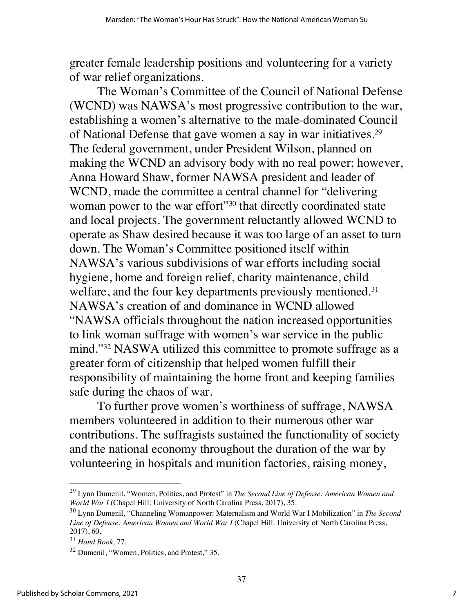greater female leadership positions and volunteering for a variety of war relief organizations.

The Woman's Committee of the Council of National Defense (WCND) was NAWSA's most progressive contribution to the war, establishing a women's alternative to the male-dominated Council of National Defense that gave women a say in war initiatives.29 The federal government, under President Wilson, planned on making the WCND an advisory body with no real power; however, Anna Howard Shaw, former NAWSA president and leader of WCND, made the committee a central channel for "delivering woman power to the war effort"<sup>30</sup> that directly coordinated state and local projects. The government reluctantly allowed WCND to operate as Shaw desired because it was too large of an asset to turn down. The Woman's Committee positioned itself within NAWSA's various subdivisions of war efforts including social hygiene, home and foreign relief, charity maintenance, child welfare, and the four key departments previously mentioned.<sup>31</sup> NAWSA's creation of and dominance in WCND allowed "NAWSA officials throughout the nation increased opportunities to link woman suffrage with women's war service in the public mind."32 NASWA utilized this committee to promote suffrage as a greater form of citizenship that helped women fulfill their responsibility of maintaining the home front and keeping families safe during the chaos of war.

To further prove women's worthiness of suffrage, NAWSA members volunteered in addition to their numerous other war contributions. The suffragists sustained the functionality of society and the national economy throughout the duration of the war by volunteering in hospitals and munition factories, raising money,

<sup>29</sup> Lynn Dumenil, "Women, Politics, and Protest" in *The Second Line of Defense: American Women and World War I* (Chapel Hill: University of North Carolina Press, 2017), 35.

<sup>30</sup> Lynn Dumenil, "Channeling Womanpower: Maternalism and World War I Mobilization" in *The Second Line of Defense: American Women and World War I* (Chapel Hill: University of North Carolina Press, 2017), 60.

<sup>31</sup> *Hand Book,* 77.

<sup>&</sup>lt;sup>32</sup> Dumenil, "Women, Politics, and Protest," 35.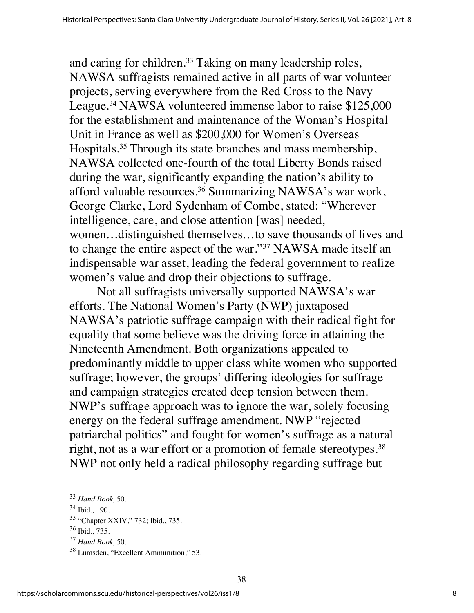and caring for children.<sup>33</sup> Taking on many leadership roles, NAWSA suffragists remained active in all parts of war volunteer projects, serving everywhere from the Red Cross to the Navy League.<sup>34</sup> NAWSA volunteered immense labor to raise \$125,000 for the establishment and maintenance of the Woman's Hospital Unit in France as well as \$200,000 for Women's Overseas Hospitals.35 Through its state branches and mass membership, NAWSA collected one-fourth of the total Liberty Bonds raised during the war, significantly expanding the nation's ability to afford valuable resources.36 Summarizing NAWSA's war work, George Clarke, Lord Sydenham of Combe, stated: "Wherever intelligence, care, and close attention [was] needed, women…distinguished themselves…to save thousands of lives and to change the entire aspect of the war."37 NAWSA made itself an indispensable war asset, leading the federal government to realize women's value and drop their objections to suffrage.

Not all suffragists universally supported NAWSA's war efforts. The National Women's Party (NWP) juxtaposed NAWSA's patriotic suffrage campaign with their radical fight for equality that some believe was the driving force in attaining the Nineteenth Amendment. Both organizations appealed to predominantly middle to upper class white women who supported suffrage; however, the groups' differing ideologies for suffrage and campaign strategies created deep tension between them. NWP's suffrage approach was to ignore the war, solely focusing energy on the federal suffrage amendment. NWP "rejected patriarchal politics" and fought for women's suffrage as a natural right, not as a war effort or a promotion of female stereotypes.<sup>38</sup> NWP not only held a radical philosophy regarding suffrage but

<sup>33</sup> *Hand Book,* 50.

<sup>34</sup> Ibid.*,* 190.

<sup>35</sup> "Chapter XXIV," 732; Ibid., 735.

<sup>36</sup> Ibid., 735.

<sup>37</sup> *Hand Book,* 50.

<sup>38</sup> Lumsden, "Excellent Ammunition," 53.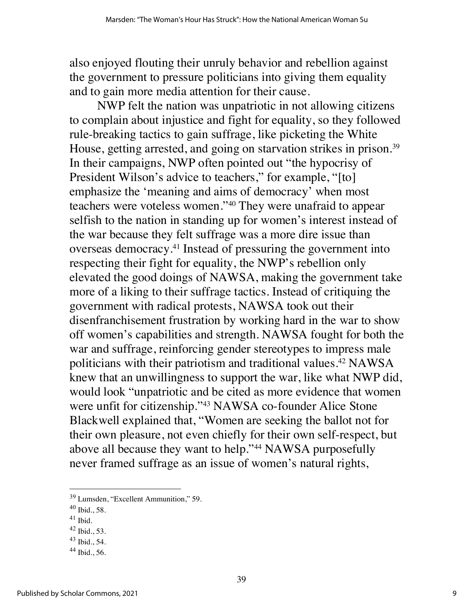also enjoyed flouting their unruly behavior and rebellion against the government to pressure politicians into giving them equality and to gain more media attention for their cause.

NWP felt the nation was unpatriotic in not allowing citizens to complain about injustice and fight for equality, so they followed rule-breaking tactics to gain suffrage, like picketing the White House, getting arrested, and going on starvation strikes in prison.<sup>39</sup> In their campaigns, NWP often pointed out "the hypocrisy of President Wilson's advice to teachers," for example, "[to] emphasize the 'meaning and aims of democracy' when most teachers were voteless women."40 They were unafraid to appear selfish to the nation in standing up for women's interest instead of the war because they felt suffrage was a more dire issue than overseas democracy.41 Instead of pressuring the government into respecting their fight for equality, the NWP's rebellion only elevated the good doings of NAWSA, making the government take more of a liking to their suffrage tactics. Instead of critiquing the government with radical protests, NAWSA took out their disenfranchisement frustration by working hard in the war to show off women's capabilities and strength. NAWSA fought for both the war and suffrage, reinforcing gender stereotypes to impress male politicians with their patriotism and traditional values.42 NAWSA knew that an unwillingness to support the war, like what NWP did, would look "unpatriotic and be cited as more evidence that women were unfit for citizenship."43 NAWSA co-founder Alice Stone Blackwell explained that, "Women are seeking the ballot not for their own pleasure, not even chiefly for their own self-respect, but above all because they want to help."44 NAWSA purposefully never framed suffrage as an issue of women's natural rights,

<sup>39</sup> Lumsden, "Excellent Ammunition," 59.

<sup>40</sup> Ibid., 58.

 $41$  Ibid.

 $42$  Ibid., 53.

<sup>43</sup> Ibid., 54.

<sup>44</sup> Ibid., 56.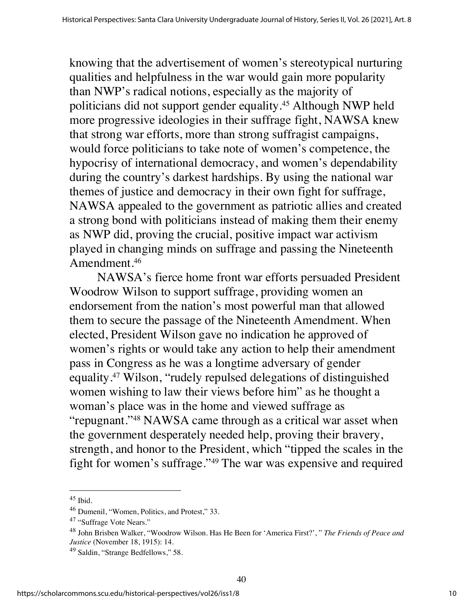knowing that the advertisement of women's stereotypical nurturing qualities and helpfulness in the war would gain more popularity than NWP's radical notions, especially as the majority of politicians did not support gender equality.45 Although NWP held more progressive ideologies in their suffrage fight, NAWSA knew that strong war efforts, more than strong suffragist campaigns, would force politicians to take note of women's competence, the hypocrisy of international democracy, and women's dependability during the country's darkest hardships. By using the national war themes of justice and democracy in their own fight for suffrage, NAWSA appealed to the government as patriotic allies and created a strong bond with politicians instead of making them their enemy as NWP did, proving the crucial, positive impact war activism played in changing minds on suffrage and passing the Nineteenth Amendment.46

NAWSA's fierce home front war efforts persuaded President Woodrow Wilson to support suffrage, providing women an endorsement from the nation's most powerful man that allowed them to secure the passage of the Nineteenth Amendment. When elected, President Wilson gave no indication he approved of women's rights or would take any action to help their amendment pass in Congress as he was a longtime adversary of gender equality.47 Wilson, "rudely repulsed delegations of distinguished women wishing to law their views before him" as he thought a woman's place was in the home and viewed suffrage as "repugnant."48 NAWSA came through as a critical war asset when the government desperately needed help, proving their bravery, strength, and honor to the President, which "tipped the scales in the fight for women's suffrage."49 The war was expensive and required

 $45$  Ibid.

<sup>46</sup> Dumenil, "Women, Politics, and Protest," 33.

<sup>&</sup>lt;sup>47</sup> "Suffrage Vote Nears."

<sup>48</sup> John Brisben Walker, "Woodrow Wilson. Has He Been for 'America First?', " *The Friends of Peace and Justice* (November 18, 1915): 14.

<sup>&</sup>lt;sup>49</sup> Saldin, "Strange Bedfellows," 58.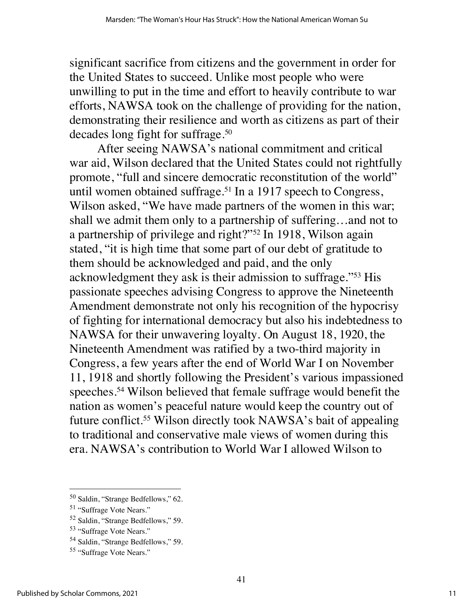significant sacrifice from citizens and the government in order for the United States to succeed. Unlike most people who were unwilling to put in the time and effort to heavily contribute to war efforts, NAWSA took on the challenge of providing for the nation, demonstrating their resilience and worth as citizens as part of their decades long fight for suffrage.50

After seeing NAWSA's national commitment and critical war aid, Wilson declared that the United States could not rightfully promote, "full and sincere democratic reconstitution of the world" until women obtained suffrage.<sup>51</sup> In a 1917 speech to Congress, Wilson asked, "We have made partners of the women in this war; shall we admit them only to a partnership of suffering…and not to a partnership of privilege and right?"52 In 1918, Wilson again stated, "it is high time that some part of our debt of gratitude to them should be acknowledged and paid, and the only acknowledgment they ask is their admission to suffrage."53 His passionate speeches advising Congress to approve the Nineteenth Amendment demonstrate not only his recognition of the hypocrisy of fighting for international democracy but also his indebtedness to NAWSA for their unwavering loyalty. On August 18, 1920, the Nineteenth Amendment was ratified by a two-third majority in Congress, a few years after the end of World War I on November 11, 1918 and shortly following the President's various impassioned speeches.54 Wilson believed that female suffrage would benefit the nation as women's peaceful nature would keep the country out of future conflict.<sup>55</sup> Wilson directly took NAWSA's bait of appealing to traditional and conservative male views of women during this era. NAWSA's contribution to World War I allowed Wilson to

<sup>50</sup> Saldin, "Strange Bedfellows," 62.

<sup>51</sup> "Suffrage Vote Nears."

<sup>52</sup> Saldin, "Strange Bedfellows," 59.

<sup>&</sup>lt;sup>53</sup> "Suffrage Vote Nears."

<sup>54</sup> Saldin, "Strange Bedfellows," 59.

<sup>55</sup> "Suffrage Vote Nears."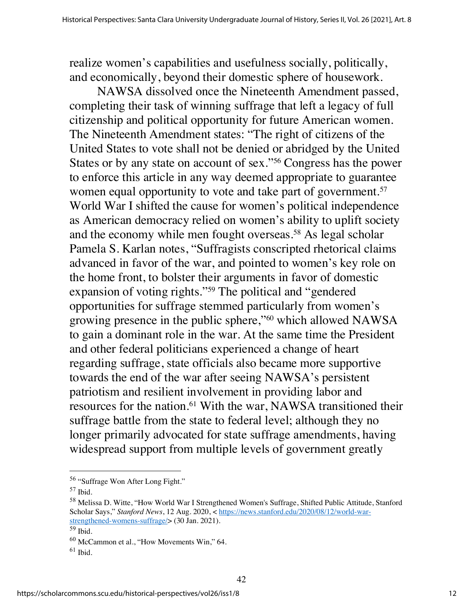realize women's capabilities and usefulness socially, politically, and economically, beyond their domestic sphere of housework.

NAWSA dissolved once the Nineteenth Amendment passed, completing their task of winning suffrage that left a legacy of full citizenship and political opportunity for future American women. The Nineteenth Amendment states: "The right of citizens of the United States to vote shall not be denied or abridged by the United States or by any state on account of sex."56 Congress has the power to enforce this article in any way deemed appropriate to guarantee women equal opportunity to vote and take part of government.<sup>57</sup> World War I shifted the cause for women's political independence as American democracy relied on women's ability to uplift society and the economy while men fought overseas.<sup>58</sup> As legal scholar Pamela S. Karlan notes, "Suffragists conscripted rhetorical claims advanced in favor of the war, and pointed to women's key role on the home front, to bolster their arguments in favor of domestic expansion of voting rights."59 The political and "gendered opportunities for suffrage stemmed particularly from women's growing presence in the public sphere,"60 which allowed NAWSA to gain a dominant role in the war. At the same time the President and other federal politicians experienced a change of heart regarding suffrage, state officials also became more supportive towards the end of the war after seeing NAWSA's persistent patriotism and resilient involvement in providing labor and resources for the nation.<sup>61</sup> With the war, NAWSA transitioned their suffrage battle from the state to federal level; although they no longer primarily advocated for state suffrage amendments, having widespread support from multiple levels of government greatly

<sup>56</sup> "Suffrage Won After Long Fight."

 $57$  Ibid.

<sup>58</sup> Melissa D. Witte, "How World War I Strengthened Women's Suffrage, Shifted Public Attitude, Stanford Scholar Says," Stanford News, 12 Aug. 2020, < https://news.stanford.edu/2020/08/12/world-warstrengthened-womens-suffrage/> (30 Jan. 2021).

<sup>59</sup> Ibid.

 $60$  McCammon et al., "How Movements Win," 64.

 $61$  Ibid.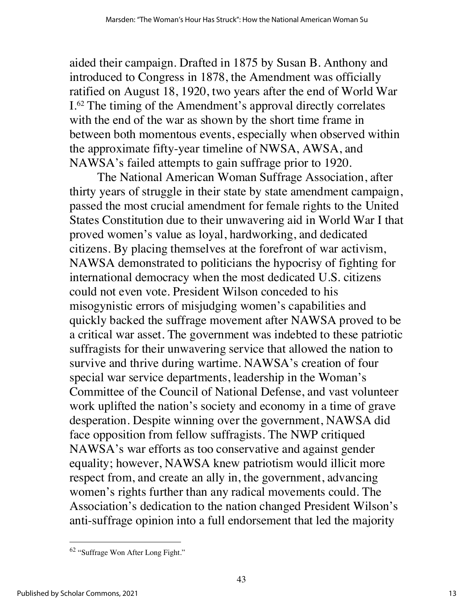aided their campaign. Drafted in 1875 by Susan B. Anthony and introduced to Congress in 1878, the Amendment was officially ratified on August 18, 1920, two years after the end of World War I.62 The timing of the Amendment's approval directly correlates with the end of the war as shown by the short time frame in between both momentous events, especially when observed within the approximate fifty-year timeline of NWSA, AWSA, and NAWSA's failed attempts to gain suffrage prior to 1920.

The National American Woman Suffrage Association, after thirty years of struggle in their state by state amendment campaign, passed the most crucial amendment for female rights to the United States Constitution due to their unwavering aid in World War I that proved women's value as loyal, hardworking, and dedicated citizens. By placing themselves at the forefront of war activism, NAWSA demonstrated to politicians the hypocrisy of fighting for international democracy when the most dedicated U.S. citizens could not even vote. President Wilson conceded to his misogynistic errors of misjudging women's capabilities and quickly backed the suffrage movement after NAWSA proved to be a critical war asset. The government was indebted to these patriotic suffragists for their unwavering service that allowed the nation to survive and thrive during wartime. NAWSA's creation of four special war service departments, leadership in the Woman's Committee of the Council of National Defense, and vast volunteer work uplifted the nation's society and economy in a time of grave desperation. Despite winning over the government, NAWSA did face opposition from fellow suffragists. The NWP critiqued NAWSA's war efforts as too conservative and against gender equality; however, NAWSA knew patriotism would illicit more respect from, and create an ally in, the government, advancing women's rights further than any radical movements could. The Association's dedication to the nation changed President Wilson's anti-suffrage opinion into a full endorsement that led the majority

<sup>&</sup>lt;sup>62</sup> "Suffrage Won After Long Fight."